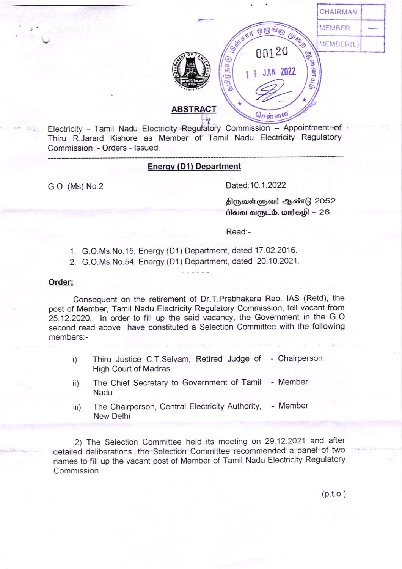

Electricity - Tamil Nadu Electricity Regulatory Commission - Appointment of Thiru R.Jarard Kishore as Member of Tamil Nadu Electricity Regulatory Commission - Orders - Issued.

## **Energy (D1) Department**

G.O. (Ms) No.2

Dated: 10.1.2022

திருவள்ளுவர் ஆண்டு 2052 பிலவ வருடம், மார்கழி – 26

Read:-

- 1. G.O.Ms.No.15, Energy (D1) Department, dated 17.02.2016.
- 2. G.O.Ms.No.54, Energy (D1) Department, dated 20.10.2021.

### Order:

Consequent on the retirement of Dr.T.Prabhakara Rao. IAS (Retd), the post of Member, Tamil Nadu Electricity Regulatory Commission, fell vacant from 25.12.2020. In order to fill up the said vacancy, the Government in the G.O. second read above have constituted a Selection Committee with the following members:-

- Thiru Justice C.T.Selvam, Retired Judge of Chairperson  $i)$ **High Court of Madras**
- The Chief Secretary to Government of Tamil - Member  $\mathsf{ii}$ ) Nadu
- The Chairperson, Central Electricity Authority, - Member  $iii)$ New Delhi

2) The Selection Committee held its meeting on 29.12.2021 and after detailed deliberations, the Selection Committee recommended a panel of two names to fill up the vacant post of Member of Tamil Nadu Electricity Regulatory Commission.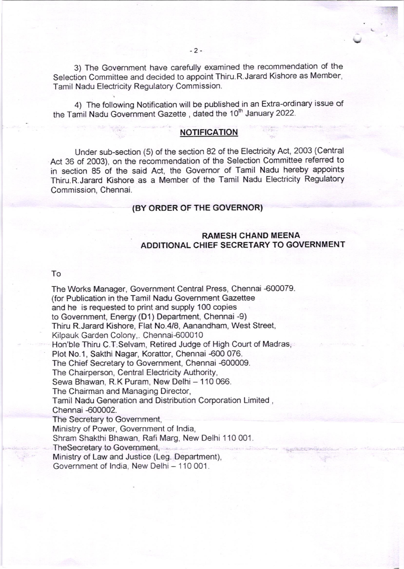3) The Government have carefully examined the recommendation of the Selection Committee and decided to appoint Thiru.R.Jarard Kishore as Member, Tamil Nadu Electricity Regulatory Commission.

4) The following Notification will be published in an Extra-ordinary issue of the Tamil Nadu Government Gazette, dated the 10<sup>th</sup> January 2022.

#### **NOTIFICATION**

Under sub-section (5) of the section 82 of the Electricity Act, 2003 (Central Act 36 of 2003), on the recommendation of the Selection Committee refened to in section 85 of the said Act, the Governor of Tamil Nadu hereby appoints Thiru.R.Jarard Kishore as a Member of the Tamil Nadu Electricity Regulatory Commission, Chennai.

## (BY ORDER OF THE GOVERNOR)

# RAMESH CHAND MEENA ADOITIONAL CHIEF SECRETARY TO GOVERNMENT

#### To

The Works Manager, Government Central Press, Chennai 600079. (for Publication in the Tamil Nadu Govemment Gazettee and he is requested to print and supply 100 copies to Government, Energy (D1) Department, Chennai -9) Thiru R.Jarard Kishore, Flat No.4/8, Aanandham, West Street, Kilpauk Garden Colony,. Chennai-600010 Hon'ble Thiru C.T.Selvam, Retired Judge of High Court of Madras, Plot No.1, Sakthi Nagar, Korattor, Chennai -600 076. The Chief Secretary to Government, Chennai -600009. The Chairperson, Central Electricity Authority, Sewa Bhawan, R.K Puram, New Delhi - 110 066. The Chairman and Managing Director, Tamil Nadu Generation and Distribution Corporation Limited , Chennai 600002. The Secretary to Govemment, Ministry of Power, Government of lndia, Shram Shakthi Bhawan, Rafi Marg, New Delhi 110 001. Thesecretary to Govemment, Ministry of Law and Justice (Leg. Department), Government of India, New Delhi - 110 001.